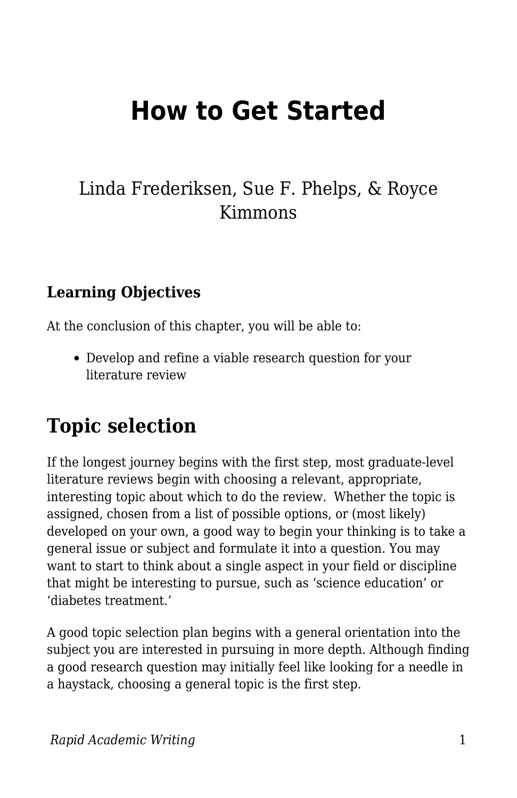# **How to Get Started**

## Linda Frederiksen, Sue F. Phelps, & Royce Kimmons

### **Learning Objectives**

At the conclusion of this chapter, you will be able to:

Develop and refine a viable research question for your literature review

## **Topic selection**

If the longest journey begins with the first step, most graduate-level literature reviews begin with choosing a relevant, appropriate, interesting topic about which to do the review. Whether the topic is assigned, chosen from a list of possible options, or (most likely) developed on your own, a good way to begin your thinking is to take a general issue or subject and formulate it into a question. You may want to start to think about a single aspect in your field or discipline that might be interesting to pursue, such as 'science education' or 'diabetes treatment.'

A good topic selection plan begins with a general orientation into the subject you are interested in pursuing in more depth. Although finding a good research question may initially feel like looking for a needle in a haystack, choosing a general topic is the first step.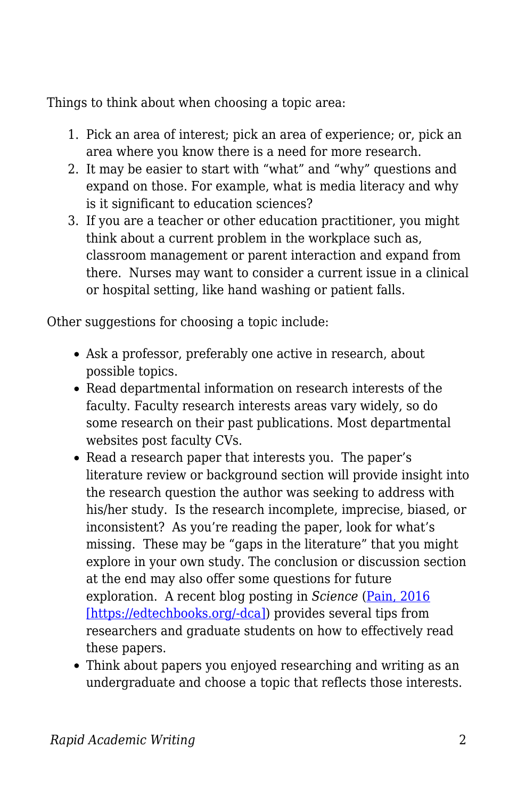Things to think about when choosing a topic area:

- 1. Pick an area of interest; pick an area of experience; or, pick an area where you know there is a need for more research.
- 2. It may be easier to start with "what" and "why" questions and expand on those. For example, what is media literacy and why is it significant to education sciences?
- 3. If you are a teacher or other education practitioner, you might think about a current problem in the workplace such as, classroom management or parent interaction and expand from there. Nurses may want to consider a current issue in a clinical or hospital setting, like hand washing or patient falls.

Other suggestions for choosing a topic include:

- Ask a professor, preferably one active in research, about possible topics.
- Read departmental information on research interests of the faculty. Faculty research interests areas vary widely, so do some research on their past publications. Most departmental websites post faculty CVs.
- Read a research paper that interests you. The paper's literature review or background section will provide insight into the research question the author was seeking to address with his/her study. Is the research incomplete, imprecise, biased, or inconsistent? As you're reading the paper, look for what's missing. These may be "gaps in the literature" that you might explore in your own study. The conclusion or discussion section at the end may also offer some questions for future exploration. A recent blog posting in *Science* ([Pain, 2016](https://edtechbooks.org/rapidwriting/lit_rev_conclusion/#ref3)) [\[https://edtechbooks.org/-dca\]\)](https://edtechbooks.org/rapidwriting/lit_rev_conclusion/#ref3) provides several tips from researchers and graduate students on how to effectively read these papers.
- Think about papers you enjoyed researching and writing as an undergraduate and choose a topic that reflects those interests.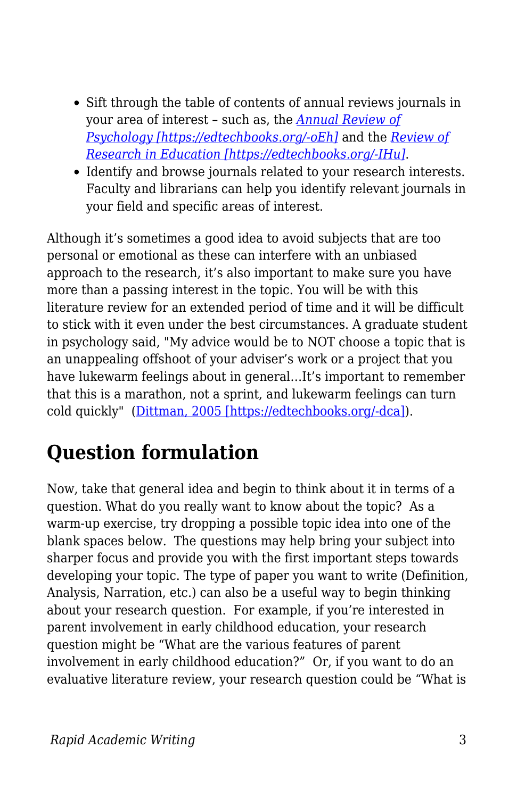- Sift through the table of contents of annual reviews journals in your area of interest – such as, the *[Annual Review of](http://www.annualreviews.org/journal/psych) [Psychology \[https://edtechbooks.org/-oEh\]](http://www.annualreviews.org/journal/psych)* and the *[Review of](http://journals.sagepub.com/home/rer) [Research in Education \[https://edtechbooks.org/-IHu\]](http://journals.sagepub.com/home/rer)*.
- Identify and browse journals related to your research interests. Faculty and librarians can help you identify relevant journals in your field and specific areas of interest.

Although it's sometimes a good idea to avoid subjects that are too personal or emotional as these can interfere with an unbiased approach to the research, it's also important to make sure you have more than a passing interest in the topic. You will be with this literature review for an extended period of time and it will be difficult to stick with it even under the best circumstances. A graduate student in psychology said, "My advice would be to NOT choose a topic that is an unappealing offshoot of your adviser's work or a project that you have lukewarm feelings about in general…It's important to remember that this is a marathon, not a sprint, and lukewarm feelings can turn cold quickly" [\(Dittman, 2005 \[https://edtechbooks.org/-dca\]](https://edtechbooks.org/rapidwriting/lit_rev_conclusion/#ref3)).

## **Question formulation**

Now, take that general idea and begin to think about it in terms of a question. What do you really want to know about the topic? As a warm-up exercise, try dropping a possible topic idea into one of the blank spaces below. The questions may help bring your subject into sharper focus and provide you with the first important steps towards developing your topic. The type of paper you want to write (Definition, Analysis, Narration, etc.) can also be a useful way to begin thinking about your research question. For example, if you're interested in parent involvement in early childhood education, your research question might be "What are the various features of parent involvement in early childhood education?" Or, if you want to do an evaluative literature review, your research question could be "What is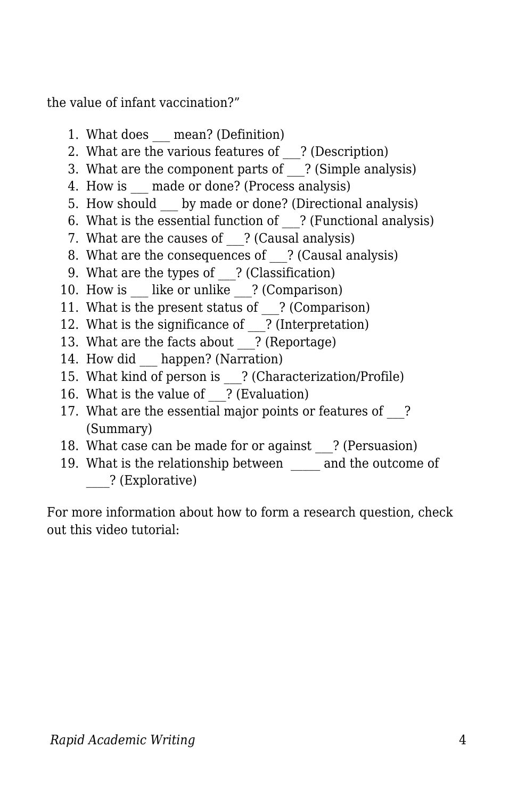the value of infant vaccination?"

- 1. What does mean? (Definition)
- 2. What are the various features of ? (Description)
- 3. What are the component parts of ? (Simple analysis)
- 4. How is made or done? (Process analysis)
- 5. How should by made or done? (Directional analysis)
- 6. What is the essential function of ? (Functional analysis)
- 7. What are the causes of ? (Causal analysis)
- 8. What are the consequences of ? (Causal analysis)
- 9. What are the types of ? (Classification)
- 10. How is like or unlike ? (Comparison)
- 11. What is the present status of ? (Comparison)
- 12. What is the significance of \_\_\_? (Interpretation)
- 13. What are the facts about ? (Reportage)
- 14. How did happen? (Narration)
- 15. What kind of person is \_\_\_? (Characterization/Profile)
- 16. What is the value of ? (Evaluation)
- 17. What are the essential major points or features of ? (Summary)
- 18. What case can be made for or against ? (Persuasion)
- 19. What is the relationship between and the outcome of \_\_\_\_? (Explorative)

For more information about how to form a research question, check out this video tutorial: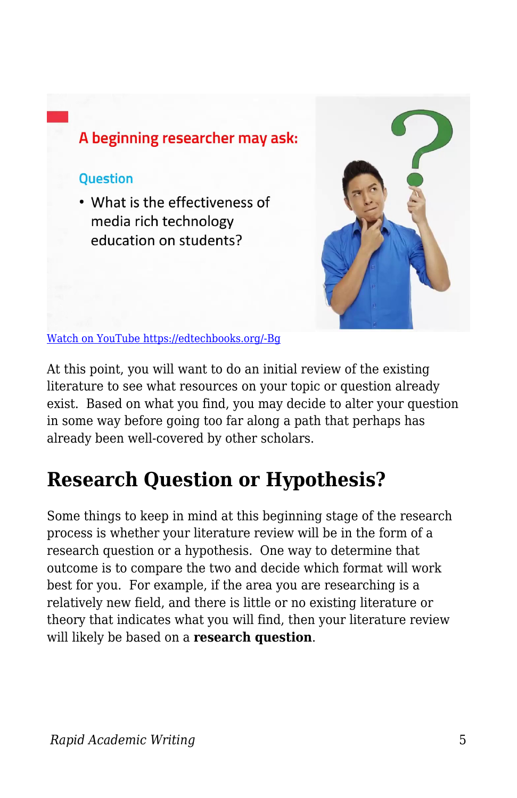

At this point, you will want to do an initial review of the existing literature to see what resources on your topic or question already exist. Based on what you find, you may decide to alter your question in some way before going too far along a path that perhaps has already been well-covered by other scholars.

## **Research Question or Hypothesis?**

Some things to keep in mind at this beginning stage of the research process is whether your literature review will be in the form of a research question or a hypothesis. One way to determine that outcome is to compare the two and decide which format will work best for you. For example, if the area you are researching is a relatively new field, and there is little or no existing literature or theory that indicates what you will find, then your literature review will likely be based on a **research question**.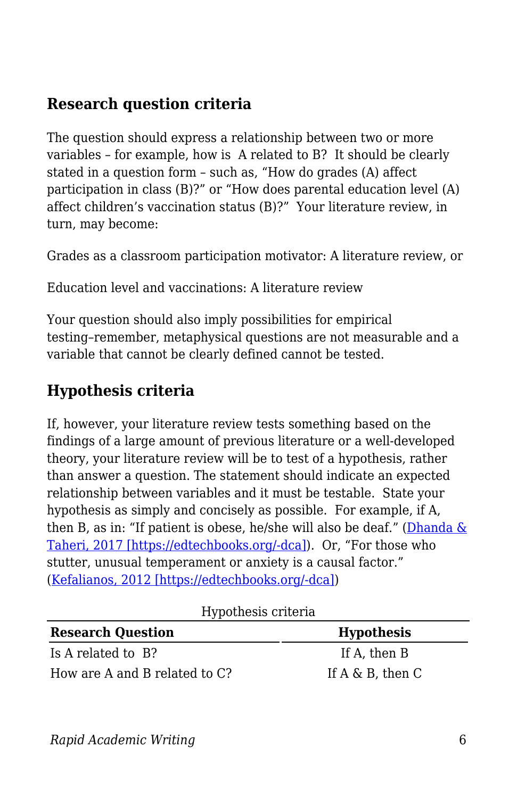### **Research question criteria**

The question should express a relationship between two or more variables – for example, how is A related to B? It should be clearly stated in a question form – such as, "How do grades (A) affect participation in class (B)?" or "How does parental education level (A) affect children's vaccination status (B)?" Your literature review, in turn, may become:

Grades as a classroom participation motivator: A literature review, or

Education level and vaccinations: A literature review

Your question should also imply possibilities for empirical testing–remember, metaphysical questions are not measurable and a variable that cannot be clearly defined cannot be tested.

### **Hypothesis criteria**

If, however, your literature review tests something based on the findings of a large amount of previous literature or a well-developed theory, your literature review will be to test of a hypothesis, rather than answer a question. The statement should indicate an expected relationship between variables and it must be testable. State your hypothesis as simply and concisely as possible. For example, if A, then B, as in: "If patient is obese, he/she will also be deaf." (Dhanda  $\&$ [Taheri, 2017 \[https://edtechbooks.org/-dca\]\)](https://edtechbooks.org/rapidwriting/lit_rev_conclusion/#ref3). Or, "For those who stutter, unusual temperament or anxiety is a causal factor." ([Kefalianos, 2012 \[https://edtechbooks.org/-dca\]](https://edtechbooks.org/rapidwriting/lit_rev_conclusion/#ref3))

| 22,000                        |                        |
|-------------------------------|------------------------|
| <b>Research Question</b>      | <b>Hypothesis</b>      |
| Is A related to B?            | If A. then B           |
| How are A and B related to C? | If $A \& B$ , then $C$ |

Hypothesis criteria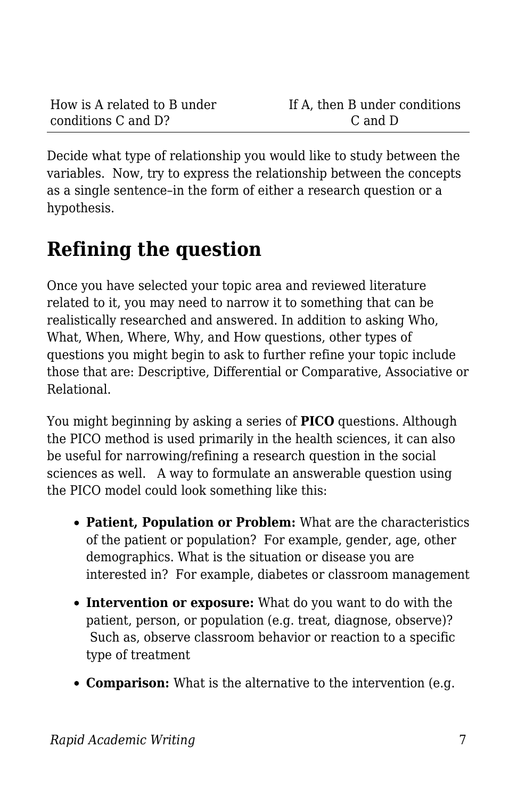Decide what type of relationship you would like to study between the variables. Now, try to express the relationship between the concepts as a single sentence–in the form of either a research question or a hypothesis.

## **Refining the question**

Once you have selected your topic area and reviewed literature related to it, you may need to narrow it to something that can be realistically researched and answered. In addition to asking Who, What, When, Where, Why, and How questions, other types of questions you might begin to ask to further refine your topic include those that are: Descriptive, Differential or Comparative, Associative or Relational.

You might beginning by asking a series of **PICO** questions. Although the PICO method is used primarily in the health sciences, it can also be useful for narrowing/refining a research question in the social sciences as well. A way to formulate an answerable question using the PICO model could look something like this:

- **Patient, Population or Problem:** What are the characteristics of the patient or population? For example, gender, age, other demographics. What is the situation or disease you are interested in? For example, diabetes or classroom management
- **Intervention or exposure:** What do you want to do with the patient, person, or population (e.g. treat, diagnose, observe)? Such as, observe classroom behavior or reaction to a specific type of treatment
- **Comparison:** What is the alternative to the intervention (e.g.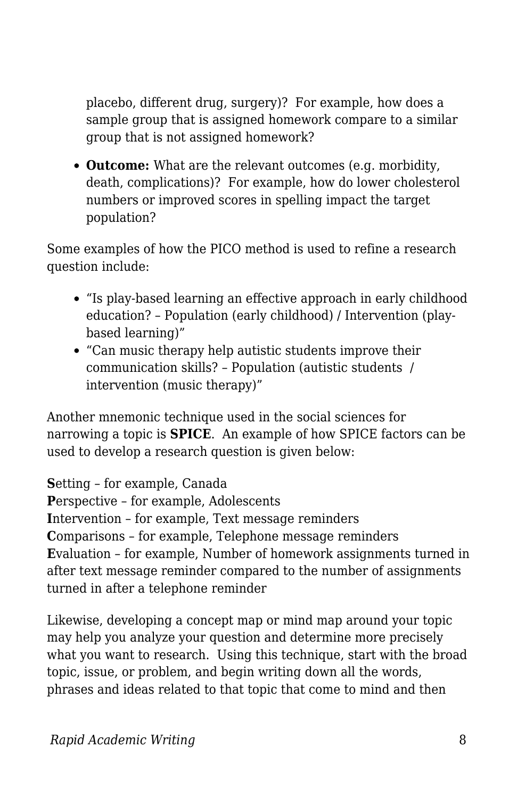placebo, different drug, surgery)? For example, how does a sample group that is assigned homework compare to a similar group that is not assigned homework?

**Outcome:** What are the relevant outcomes (e.g. morbidity, death, complications)? For example, how do lower cholesterol numbers or improved scores in spelling impact the target population?

Some examples of how the PICO method is used to refine a research question include:

- "Is play-based learning an effective approach in early childhood education? – Population (early childhood) / Intervention (playbased learning)"
- "Can music therapy help autistic students improve their communication skills? – Population (autistic students / intervention (music therapy)"

Another mnemonic technique used in the social sciences for narrowing a topic is **SPICE**. An example of how SPICE factors can be used to develop a research question is given below:

**S**etting – for example, Canada

**P**erspective – for example, Adolescents

**I**ntervention – for example, Text message reminders

**C**omparisons – for example, Telephone message reminders **E**valuation – for example, Number of homework assignments turned in after text message reminder compared to the number of assignments turned in after a telephone reminder

Likewise, developing a concept map or mind map around your topic may help you analyze your question and determine more precisely what you want to research. Using this technique, start with the broad topic, issue, or problem, and begin writing down all the words, phrases and ideas related to that topic that come to mind and then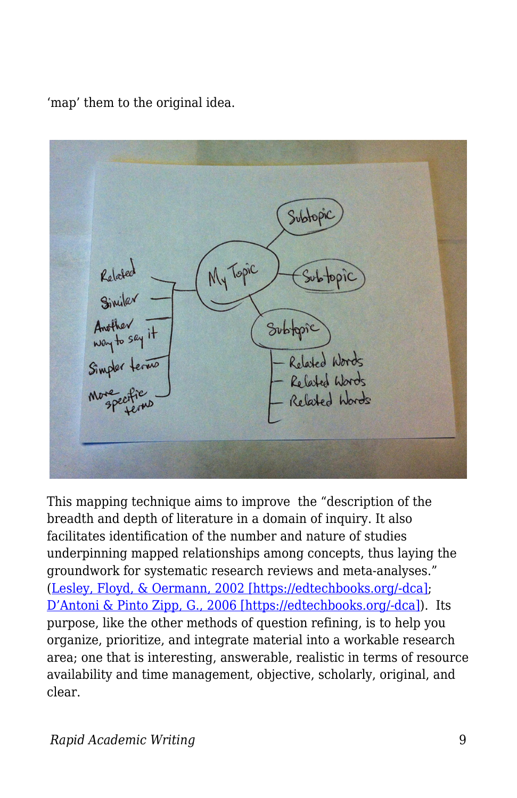'map' them to the original idea.



This mapping technique aims to improve the "description of the breadth and depth of literature in a domain of inquiry. It also facilitates identification of the number and nature of studies underpinning mapped relationships among concepts, thus laying the groundwork for systematic research reviews and meta-analyses." ([Lesley, Floyd, & Oermann, 2002 \[https://edtechbooks.org/-dca\];](https://edtechbooks.org/rapidwriting/lit_rev_conclusion/#ref3) [D'Antoni & Pinto Zipp, G., 2006 \[https://edtechbooks.org/-dca\]\)](https://edtechbooks.org/rapidwriting/lit_rev_conclusion/#ref3). Its purpose, like the other methods of question refining, is to help you organize, prioritize, and integrate material into a workable research area; one that is interesting, answerable, realistic in terms of resource availability and time management, objective, scholarly, original, and clear.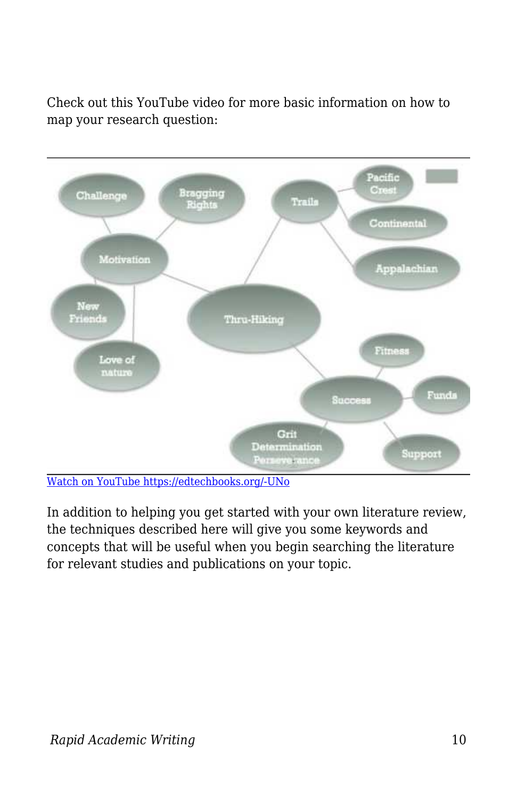Check out this YouTube video for more basic information on how to map your research question:



[Watch on YouTube https://edtechbooks.org/-UNo](https://www.youtube.com/embed/FgvyQjiySC8?autoplay=1&rel=0&showinfo=0&modestbranding=1)

In addition to helping you get started with your own literature review, the techniques described here will give you some keywords and concepts that will be useful when you begin searching the literature for relevant studies and publications on your topic.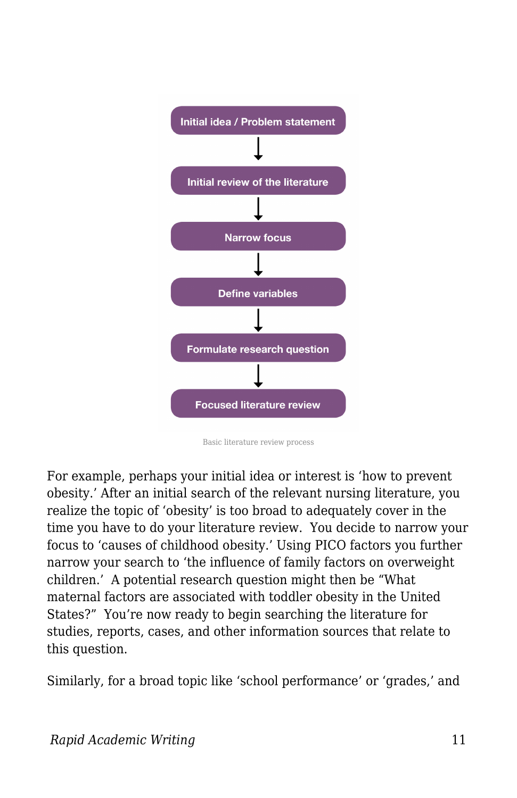

Basic literature review process

For example, perhaps your initial idea or interest is 'how to prevent obesity.' After an initial search of the relevant nursing literature, you realize the topic of 'obesity' is too broad to adequately cover in the time you have to do your literature review. You decide to narrow your focus to 'causes of childhood obesity.' Using PICO factors you further narrow your search to 'the influence of family factors on overweight children.' A potential research question might then be "What maternal factors are associated with toddler obesity in the United States?" You're now ready to begin searching the literature for studies, reports, cases, and other information sources that relate to this question.

Similarly, for a broad topic like 'school performance' or 'grades,' and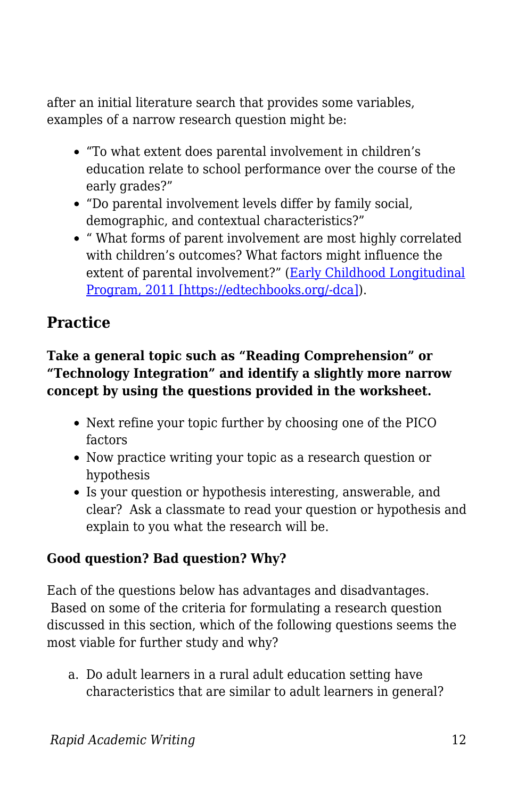after an initial literature search that provides some variables, examples of a narrow research question might be:

- "To what extent does parental involvement in children's education relate to school performance over the course of the early grades?"
- "Do parental involvement levels differ by family social, demographic, and contextual characteristics?"
- " What forms of parent involvement are most highly correlated with children's outcomes? What factors might influence the extent of parental involvement?" ([Early Childhood Longitudinal](https://edtechbooks.org/rapidwriting/lit_rev_conclusion/#ref3) [Program, 2011 \[https://edtechbooks.org/-dca\]\)](https://edtechbooks.org/rapidwriting/lit_rev_conclusion/#ref3).

## **Practice**

#### **Take a general topic such as "Reading Comprehension" or "Technology Integration" and identify a slightly more narrow concept by using the questions provided in the worksheet.**

- Next refine your topic further by choosing one of the PICO factors
- Now practice writing your topic as a research question or hypothesis
- Is your question or hypothesis interesting, answerable, and clear? Ask a classmate to read your question or hypothesis and explain to you what the research will be.

#### **Good question? Bad question? Why?**

Each of the questions below has advantages and disadvantages. Based on some of the criteria for formulating a research question discussed in this section, which of the following questions seems the most viable for further study and why?

a. Do adult learners in a rural adult education setting have characteristics that are similar to adult learners in general?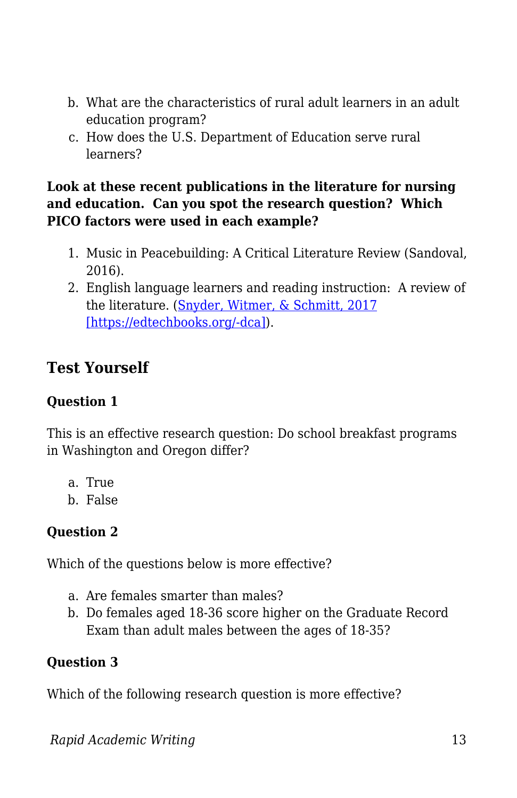- b. What are the characteristics of rural adult learners in an adult education program?
- c. How does the U.S. Department of Education serve rural learners?

#### **Look at these recent publications in the literature for nursing and education. Can you spot the research question? Which PICO factors were used in each example?**

- 1. Music in Peacebuilding: A Critical Literature Review (Sandoval, 2016).
- 2. English language learners and reading instruction: A review of the literature. [\(Snyder, Witmer, & Schmitt, 2017](https://edtechbooks.org/rapidwriting/lit_rev_conclusion/#ref3) [\[https://edtechbooks.org/-dca\]\)](https://edtechbooks.org/rapidwriting/lit_rev_conclusion/#ref3).

### **Test Yourself**

#### **Question 1**

This is an effective research question: Do school breakfast programs in Washington and Oregon differ?

- a. True
- b. False

#### **Question 2**

Which of the questions below is more effective?

- a. Are females smarter than males?
- b. Do females aged 18-36 score higher on the Graduate Record Exam than adult males between the ages of 18-35?

#### **Question 3**

Which of the following research question is more effective?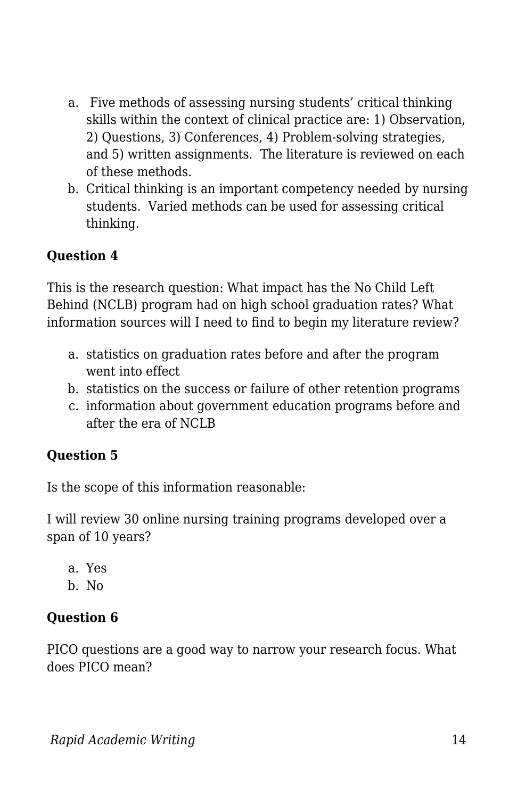- a. Five methods of assessing nursing students' critical thinking skills within the context of clinical practice are: 1) Observation, 2) Questions, 3) Conferences, 4) Problem-solving strategies, and 5) written assignments. The literature is reviewed on each of these methods.
- b. Critical thinking is an important competency needed by nursing students. Varied methods can be used for assessing critical thinking.

#### **Question 4**

This is the research question: What impact has the No Child Left Behind (NCLB) program had on high school graduation rates? What information sources will I need to find to begin my literature review?

- a. statistics on graduation rates before and after the program went into effect
- b. statistics on the success or failure of other retention programs
- c. information about government education programs before and after the era of NCLB

#### **Question 5**

Is the scope of this information reasonable:

I will review 30 online nursing training programs developed over a span of 10 years?

a. Yes b. No

#### **Question 6**

PICO questions are a good way to narrow your research focus. What does PICO mean?